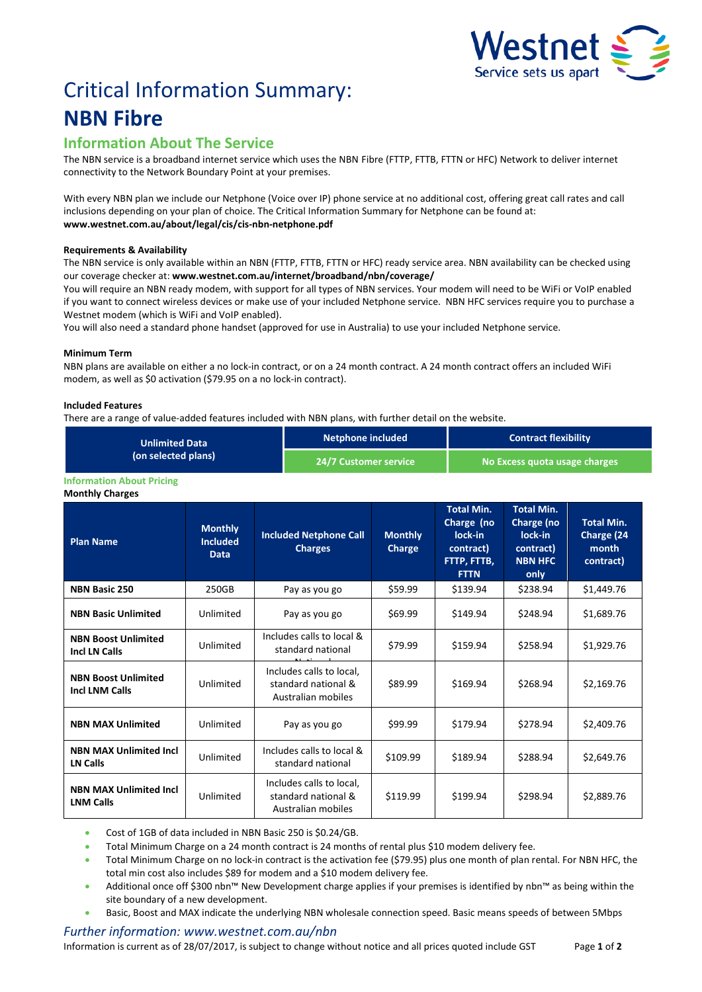

# Critical Information Summary: **NBN Fibre**

## **Information About The Service**

The NBN service is a broadband internet service which uses the NBNFibre (FTTP, FTTB, FTTN or HFC) Network to deliver internet connectivity to the Network Boundary Point at your premises.

With every NBN plan we include our Netphone (Voice over IP) phone service at no additional cost, offering great call rates and call inclusions depending on your plan of choice. The Critical Information Summary for Netphone can be found at: **www.westnet.com.au/about/legal/cis/cis-nbn-netphone.pdf**

#### **Requirements & Availability**

The NBN service is only available within an NBN (FTTP, FTTB, FTTN or HFC) ready service area. NBN availability can be checked using our coverage checker at: **www.westnet.com.au/internet/broadband/nbn/coverage/**

You will require an NBN ready modem, with support for all types of NBN services. Your modem will need to be WiFi or VoIP enabled if you want to connect wireless devices or make use of your included Netphone service. NBN HFC services require you to purchase a Westnet modem (which is WiFi and VoIP enabled).

You will also need a standard phone handset (approved for use in Australia) to use your included Netphone service.

#### **Minimum Term**

NBN plans are available on either a no lock-in contract, or on a 24 month contract. A 24 month contract offers an included WiFi modem, as well as \$0 activation (\$79.95 on a no lock-in contract).

#### **Included Features**

There are a range of value-added features included with NBN plans, with further detail on the website.

| <b>Unlimited Data</b><br>(on selected plans) | Netphone included     | <b>Contract flexibility</b>   |
|----------------------------------------------|-----------------------|-------------------------------|
|                                              | 24/7 Customer service | No Excess quota usage charges |

#### **Information About Pricing**

**Monthly Charges**

| <b>Plan Name</b>                                    | <b>Monthly</b><br><b>Included</b><br><b>Data</b> | <b>Included Netphone Call</b><br><b>Charges</b>                       | <b>Monthly</b><br>Charge | <b>Total Min.</b><br>Charge (no<br>lock-in<br>contract)<br>FTTP, FTTB,<br><b>FTTN</b> | <b>Total Min.</b><br>Charge (no<br>lock-in<br>contract)<br><b>NBN HFC</b><br>only | <b>Total Min.</b><br>Charge (24<br>month<br>contract) |
|-----------------------------------------------------|--------------------------------------------------|-----------------------------------------------------------------------|--------------------------|---------------------------------------------------------------------------------------|-----------------------------------------------------------------------------------|-------------------------------------------------------|
| <b>NBN Basic 250</b>                                | 250GB                                            | Pay as you go                                                         | \$59.99                  | \$139.94                                                                              | \$238.94                                                                          | \$1,449.76                                            |
| <b>NBN Basic Unlimited</b>                          | Unlimited                                        | Pay as you go                                                         | \$69.99                  | \$149.94                                                                              | \$248.94                                                                          | \$1,689.76                                            |
| <b>NBN Boost Unlimited</b><br><b>Incl LN Calls</b>  | Unlimited                                        | Includes calls to local &<br>standard national                        | \$79.99                  | \$159.94                                                                              | \$258.94                                                                          | \$1,929.76                                            |
| <b>NBN Boost Unlimited</b><br><b>Incl LNM Calls</b> | Unlimited                                        | Includes calls to local,<br>standard national &<br>Australian mobiles | \$89.99                  | \$169.94                                                                              | \$268.94                                                                          | \$2,169.76                                            |
| <b>NBN MAX Unlimited</b>                            | Unlimited                                        | Pay as you go                                                         | \$99.99                  | \$179.94                                                                              | \$278.94                                                                          | \$2,409.76                                            |
| <b>NBN MAX Unlimited Incl</b><br><b>LN Calls</b>    | Unlimited                                        | Includes calls to local &<br>standard national                        | \$109.99                 | \$189.94                                                                              | \$288.94                                                                          | \$2,649.76                                            |
| <b>NBN MAX Unlimited Incl</b><br><b>LNM Calls</b>   | Unlimited                                        | Includes calls to local,<br>standard national &<br>Australian mobiles | \$119.99                 | \$199.94                                                                              | \$298.94                                                                          | \$2,889.76                                            |

• Cost of 1GB of data included in NBN Basic 250 is \$0.24/GB.

• Total Minimum Charge on a 24 month contract is 24 months of rental plus \$10 modem delivery fee.

• Total Minimum Charge on no lock-in contract is the activation fee (\$79.95) plus one month of plan rental. For NBN HFC, the total min cost also includes \$89 for modem and a \$10 modem delivery fee.

- Additional once off \$300 nbn™ New Development charge applies if your premises is identified by nbn™ as being within the site boundary of a new development.
- Basic, Boost and MAX indicate the underlying NBN wholesale connection speed. Basic means speeds of between 5Mbps

### *Further information: www.westnet.com.au/nbn*

Information is current as of 28/07/2017, is subject to change without notice and all prices quoted include GST Page **1** of **2**